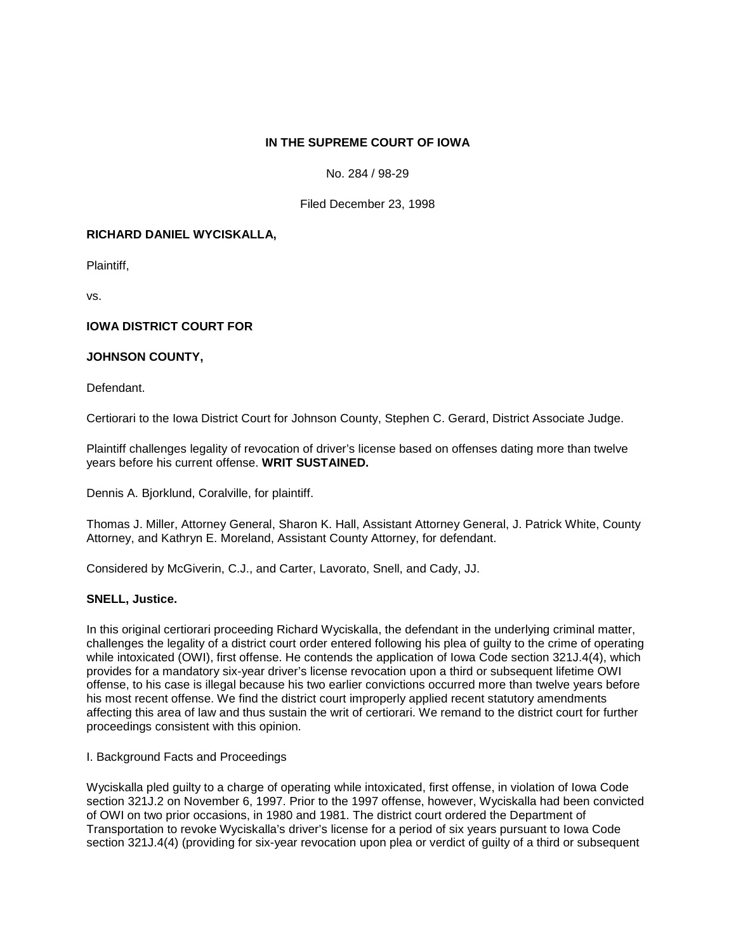# **IN THE SUPREME COURT OF IOWA**

## No. 284 / 98-29

## Filed December 23, 1998

## **RICHARD DANIEL WYCISKALLA,**

Plaintiff,

vs.

# **IOWA DISTRICT COURT FOR**

## **JOHNSON COUNTY,**

Defendant.

Certiorari to the Iowa District Court for Johnson County, Stephen C. Gerard, District Associate Judge.

Plaintiff challenges legality of revocation of driver's license based on offenses dating more than twelve years before his current offense. **WRIT SUSTAINED.**

Dennis A. Bjorklund, Coralville, for plaintiff.

Thomas J. Miller, Attorney General, Sharon K. Hall, Assistant Attorney General, J. Patrick White, County Attorney, and Kathryn E. Moreland, Assistant County Attorney, for defendant.

Considered by McGiverin, C.J., and Carter, Lavorato, Snell, and Cady, JJ.

## **SNELL, Justice.**

In this original certiorari proceeding Richard Wyciskalla, the defendant in the underlying criminal matter, challenges the legality of a district court order entered following his plea of guilty to the crime of operating while intoxicated (OWI), first offense. He contends the application of Iowa Code section 321J.4(4), which provides for a mandatory six-year driver's license revocation upon a third or subsequent lifetime OWI offense, to his case is illegal because his two earlier convictions occurred more than twelve years before his most recent offense. We find the district court improperly applied recent statutory amendments affecting this area of law and thus sustain the writ of certiorari. We remand to the district court for further proceedings consistent with this opinion.

## I. Background Facts and Proceedings

Wyciskalla pled guilty to a charge of operating while intoxicated, first offense, in violation of Iowa Code section 321J.2 on November 6, 1997. Prior to the 1997 offense, however, Wyciskalla had been convicted of OWI on two prior occasions, in 1980 and 1981. The district court ordered the Department of Transportation to revoke Wyciskalla's driver's license for a period of six years pursuant to Iowa Code section 321J.4(4) (providing for six-year revocation upon plea or verdict of quilty of a third or subsequent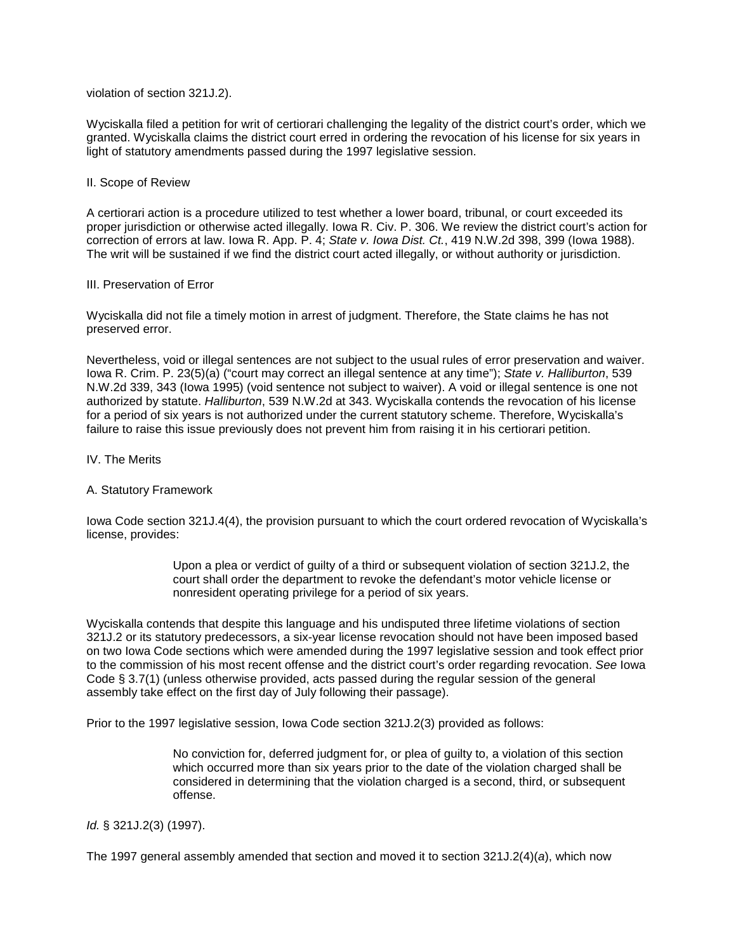violation of section 321J.2).

Wyciskalla filed a petition for writ of certiorari challenging the legality of the district court's order, which we granted. Wyciskalla claims the district court erred in ordering the revocation of his license for six years in light of statutory amendments passed during the 1997 legislative session.

### II. Scope of Review

A certiorari action is a procedure utilized to test whether a lower board, tribunal, or court exceeded its proper jurisdiction or otherwise acted illegally. Iowa R. Civ. P. 306. We review the district court's action for correction of errors at law. Iowa R. App. P. 4; *State v. Iowa Dist. Ct.*, 419 N.W.2d 398, 399 (Iowa 1988). The writ will be sustained if we find the district court acted illegally, or without authority or jurisdiction.

### III. Preservation of Error

Wyciskalla did not file a timely motion in arrest of judgment. Therefore, the State claims he has not preserved error.

Nevertheless, void or illegal sentences are not subject to the usual rules of error preservation and waiver. Iowa R. Crim. P. 23(5)(a) ("court may correct an illegal sentence at any time"); *State v. Halliburton*, 539 N.W.2d 339, 343 (Iowa 1995) (void sentence not subject to waiver). A void or illegal sentence is one not authorized by statute. *Halliburton*, 539 N.W.2d at 343. Wyciskalla contends the revocation of his license for a period of six years is not authorized under the current statutory scheme. Therefore, Wyciskalla's failure to raise this issue previously does not prevent him from raising it in his certiorari petition.

### IV. The Merits

## A. Statutory Framework

Iowa Code section 321J.4(4), the provision pursuant to which the court ordered revocation of Wyciskalla's license, provides:

> Upon a plea or verdict of guilty of a third or subsequent violation of section 321J.2, the court shall order the department to revoke the defendant's motor vehicle license or nonresident operating privilege for a period of six years.

Wyciskalla contends that despite this language and his undisputed three lifetime violations of section 321J.2 or its statutory predecessors, a six-year license revocation should not have been imposed based on two Iowa Code sections which were amended during the 1997 legislative session and took effect prior to the commission of his most recent offense and the district court's order regarding revocation. *See* Iowa Code § 3.7(1) (unless otherwise provided, acts passed during the regular session of the general assembly take effect on the first day of July following their passage).

Prior to the 1997 legislative session, Iowa Code section 321J.2(3) provided as follows:

No conviction for, deferred judgment for, or plea of guilty to, a violation of this section which occurred more than six years prior to the date of the violation charged shall be considered in determining that the violation charged is a second, third, or subsequent offense.

### *Id.* § 321J.2(3) (1997).

The 1997 general assembly amended that section and moved it to section 321J.2(4)(*a*), which now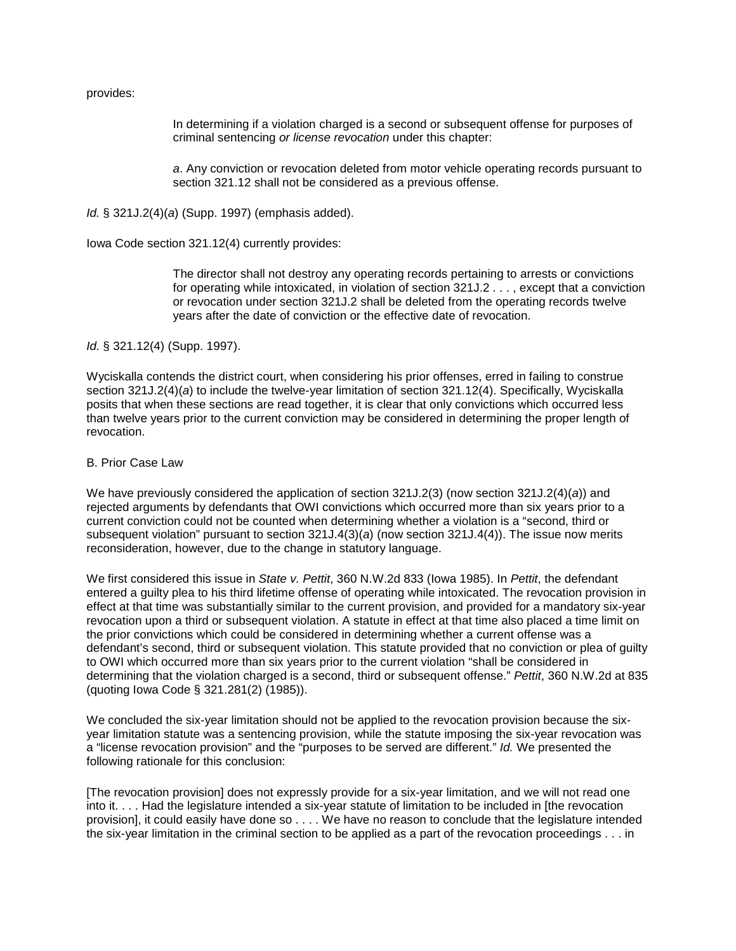provides:

In determining if a violation charged is a second or subsequent offense for purposes of criminal sentencing *or license revocation* under this chapter:

*a*. Any conviction or revocation deleted from motor vehicle operating records pursuant to section 321.12 shall not be considered as a previous offense.

*Id.* § 321J.2(4)(*a*) (Supp. 1997) (emphasis added).

Iowa Code section 321.12(4) currently provides:

The director shall not destroy any operating records pertaining to arrests or convictions for operating while intoxicated, in violation of section 321J.2 . . . , except that a conviction or revocation under section 321J.2 shall be deleted from the operating records twelve years after the date of conviction or the effective date of revocation.

*Id.* § 321.12(4) (Supp. 1997).

Wyciskalla contends the district court, when considering his prior offenses, erred in failing to construe section 321J.2(4)(*a*) to include the twelve-year limitation of section 321.12(4). Specifically, Wyciskalla posits that when these sections are read together, it is clear that only convictions which occurred less than twelve years prior to the current conviction may be considered in determining the proper length of revocation.

B. Prior Case Law

We have previously considered the application of section 321J.2(3) (now section 321J.2(4)(*a*)) and rejected arguments by defendants that OWI convictions which occurred more than six years prior to a current conviction could not be counted when determining whether a violation is a "second, third or subsequent violation" pursuant to section 321J.4(3)(*a*) (now section 321J.4(4)). The issue now merits reconsideration, however, due to the change in statutory language.

We first considered this issue in *State v. Pettit*, 360 N.W.2d 833 (Iowa 1985). In *Pettit*, the defendant entered a guilty plea to his third lifetime offense of operating while intoxicated. The revocation provision in effect at that time was substantially similar to the current provision, and provided for a mandatory six-year revocation upon a third or subsequent violation. A statute in effect at that time also placed a time limit on the prior convictions which could be considered in determining whether a current offense was a defendant's second, third or subsequent violation. This statute provided that no conviction or plea of guilty to OWI which occurred more than six years prior to the current violation "shall be considered in determining that the violation charged is a second, third or subsequent offense." *Pettit*, 360 N.W.2d at 835 (quoting Iowa Code § 321.281(2) (1985)).

We concluded the six-year limitation should not be applied to the revocation provision because the sixyear limitation statute was a sentencing provision, while the statute imposing the six-year revocation was a "license revocation provision" and the "purposes to be served are different." *Id.* We presented the following rationale for this conclusion:

[The revocation provision] does not expressly provide for a six-year limitation, and we will not read one into it. . . . Had the legislature intended a six-year statute of limitation to be included in [the revocation provision], it could easily have done so . . . . We have no reason to conclude that the legislature intended the six-year limitation in the criminal section to be applied as a part of the revocation proceedings . . . in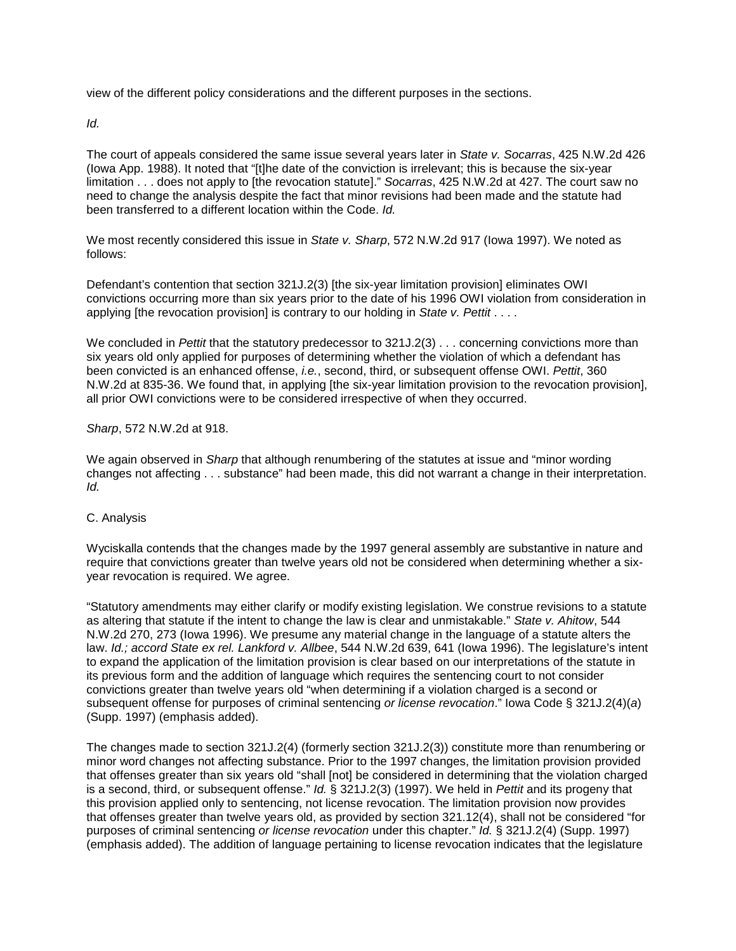view of the different policy considerations and the different purposes in the sections.

*Id.*

The court of appeals considered the same issue several years later in *State v. Socarras*, 425 N.W.2d 426 (Iowa App. 1988). It noted that "[t]he date of the conviction is irrelevant; this is because the six-year limitation . . . does not apply to [the revocation statute]." *Socarras*, 425 N.W.2d at 427. The court saw no need to change the analysis despite the fact that minor revisions had been made and the statute had been transferred to a different location within the Code. *Id.*

We most recently considered this issue in *State v. Sharp*, 572 N.W.2d 917 (Iowa 1997). We noted as follows:

Defendant's contention that section 321J.2(3) [the six-year limitation provision] eliminates OWI convictions occurring more than six years prior to the date of his 1996 OWI violation from consideration in applying [the revocation provision] is contrary to our holding in *State v. Pettit* . . . .

We concluded in *Pettit* that the statutory predecessor to 321J.2(3) . . . concerning convictions more than six years old only applied for purposes of determining whether the violation of which a defendant has been convicted is an enhanced offense, *i.e.*, second, third, or subsequent offense OWI. *Pettit*, 360 N.W.2d at 835-36. We found that, in applying [the six-year limitation provision to the revocation provision], all prior OWI convictions were to be considered irrespective of when they occurred.

# *Sharp*, 572 N.W.2d at 918.

We again observed in *Sharp* that although renumbering of the statutes at issue and "minor wording changes not affecting . . . substance" had been made, this did not warrant a change in their interpretation. *Id.*

## C. Analysis

Wyciskalla contends that the changes made by the 1997 general assembly are substantive in nature and require that convictions greater than twelve years old not be considered when determining whether a sixyear revocation is required. We agree.

"Statutory amendments may either clarify or modify existing legislation. We construe revisions to a statute as altering that statute if the intent to change the law is clear and unmistakable." *State v. Ahitow*, 544 N.W.2d 270, 273 (Iowa 1996). We presume any material change in the language of a statute alters the law. *Id.; accord State ex rel. Lankford v. Allbee*, 544 N.W.2d 639, 641 (Iowa 1996). The legislature's intent to expand the application of the limitation provision is clear based on our interpretations of the statute in its previous form and the addition of language which requires the sentencing court to not consider convictions greater than twelve years old "when determining if a violation charged is a second or subsequent offense for purposes of criminal sentencing *or license revocation*." Iowa Code § 321J.2(4)(*a*) (Supp. 1997) (emphasis added).

The changes made to section 321J.2(4) (formerly section 321J.2(3)) constitute more than renumbering or minor word changes not affecting substance. Prior to the 1997 changes, the limitation provision provided that offenses greater than six years old "shall [not] be considered in determining that the violation charged is a second, third, or subsequent offense." *Id.* § 321J.2(3) (1997). We held in *Pettit* and its progeny that this provision applied only to sentencing, not license revocation. The limitation provision now provides that offenses greater than twelve years old, as provided by section 321.12(4), shall not be considered "for purposes of criminal sentencing *or license revocation* under this chapter." *Id.* § 321J.2(4) (Supp. 1997) (emphasis added). The addition of language pertaining to license revocation indicates that the legislature